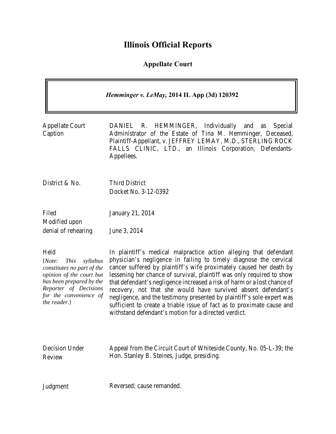# **Illinois Official Reports**

# **Appellate Court**

| Hemminger v. LeMay, 2014 IL App (3d) 120392                                                                                                                                                        |                                                                                                                                                                                                                                                                                                                                                                                                                                                                                                                                                                                                                                                 |
|----------------------------------------------------------------------------------------------------------------------------------------------------------------------------------------------------|-------------------------------------------------------------------------------------------------------------------------------------------------------------------------------------------------------------------------------------------------------------------------------------------------------------------------------------------------------------------------------------------------------------------------------------------------------------------------------------------------------------------------------------------------------------------------------------------------------------------------------------------------|
| <b>Appellate Court</b><br>Caption                                                                                                                                                                  | HEMMINGER, Individually<br>DANIEL<br>R.<br>and<br>Special<br>as<br>Administrator of the Estate of Tina M. Hemminger, Deceased,<br>Plaintiff-Appellant, v. JEFFREY LEMAY, M.D., STERLING ROCK<br>FALLS CLINIC, LTD., an Illinois Corporation, Defendants-<br>Appellees.                                                                                                                                                                                                                                                                                                                                                                          |
| District & No.                                                                                                                                                                                     | <b>Third District</b><br>Docket No. 3-12-0392                                                                                                                                                                                                                                                                                                                                                                                                                                                                                                                                                                                                   |
| Filed<br>Modified upon<br>denial of rehearing                                                                                                                                                      | January 21, 2014<br>June 3, 2014                                                                                                                                                                                                                                                                                                                                                                                                                                                                                                                                                                                                                |
| Held<br><i>This</i><br>syllabus<br>(Note:<br>constitutes no part of the<br>opinion of the court but<br>has been prepared by the<br>Reporter of Decisions<br>for the convenience of<br>the reader.) | In plaintiff's medical malpractice action alleging that defendant<br>physician's negligence in failing to timely diagnose the cervical<br>cancer suffered by plaintiff's wife proximately caused her death by<br>lessening her chance of survival, plaintiff was only required to show<br>that defendant's negligence increased a risk of harm or a lost chance of<br>recovery, not that she would have survived absent defendant's<br>negligence, and the testimony presented by plaintiff's sole expert was<br>sufficient to create a triable issue of fact as to proximate cause and<br>withstand defendant's motion for a directed verdict. |
| Decision Under<br>Review                                                                                                                                                                           | Appeal from the Circuit Court of Whiteside County, No. 05-L-39; the<br>Hon. Stanley B. Steines, Judge, presiding.                                                                                                                                                                                                                                                                                                                                                                                                                                                                                                                               |

Judgment Reversed; cause remanded.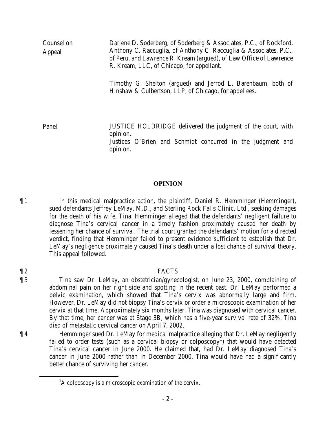| Counsel on<br>Appeal | Darlene D. Soderberg, of Soderberg & Associates, P.C., of Rockford,<br>Anthony C. Raccuglia, of Anthony C. Raccuglia & Associates, P.C.,<br>of Peru, and Lawrence R. Kream (argued), of Law Office of Lawrence<br>R. Kream, LLC, of Chicago, for appellant. |
|----------------------|-------------------------------------------------------------------------------------------------------------------------------------------------------------------------------------------------------------------------------------------------------------|
|                      | Timothy G. Shelton (argued) and Jerrod L. Barenbaum, both of<br>Hinshaw & Culbertson, LLP, of Chicago, for appellees.                                                                                                                                       |
| Panel                | JUSTICE HOLDRIDGE delivered the judgment of the court, with<br>opinion.<br>Justices O'Brien and Schmidt concurred in the judgment and<br>opinion.                                                                                                           |

### **OPINION**

¶ 1 In this medical malpractice action, the plaintiff, Daniel R. Hemminger (Hemminger), sued defendants Jeffrey LeMay, M.D., and Sterling Rock Falls Clinic, Ltd., seeking damages for the death of his wife, Tina. Hemminger alleged that the defendants' negligent failure to diagnose Tina's cervical cancer in a timely fashion proximately caused her death by lessening her chance of survival. The trial court granted the defendants' motion for a directed verdict, finding that Hemminger failed to present evidence sufficient to establish that Dr. LeMay's negligence proximately caused Tina's death under a lost chance of survival theory. This appeal followed.

# ¶ 2 FACTS

¶ 3 Tina saw Dr. LeMay, an obstetrician/gynecologist, on June 23, 2000, complaining of abdominal pain on her right side and spotting in the recent past. Dr. LeMay performed a pelvic examination, which showed that Tina's cervix was abnormally large and firm. However, Dr. LeMay did not biopsy Tina's cervix or order a microscopic examination of her cervix at that time. Approximately six months later, Tina was diagnosed with cervical cancer. By that time, her cancer was at Stage 3B, which has a five-year survival rate of 32%. Tina died of metastatic cervical cancer on April 7, 2002.

¶ 4 Hemminger sued Dr. LeMay for medical malpractice alleging that Dr. LeMay negligently failed to order tests (such as a cervical biopsy or colposcopy<sup>[1](#page-1-0)</sup>) that would have detected Tina's cervical cancer in June 2000. He claimed that, had Dr. LeMay diagnosed Tina's cancer in June 2000 rather than in December 2000, Tina would have had a significantly better chance of surviving her cancer.

<span id="page-1-0"></span><sup>&</sup>lt;u>1</u>  $A$  colposcopy is a microscopic examination of the cervix.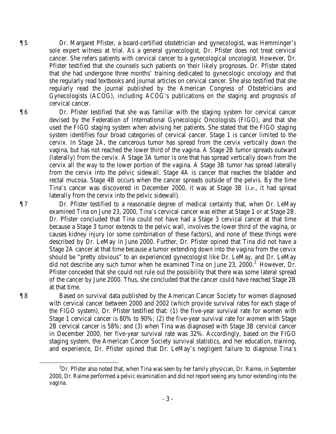¶ 5 Dr. Margaret Pfister, a board-certified obstetrician and gynecologist, was Hemminger's sole expert witness at trial. As a general gynecologist, Dr. Pfister does not treat cervical cancer. She refers patients with cervical cancer to a gynecological oncologist. However, Dr. Pfister testified that she counsels such patients on their likely prognoses. Dr. Pfister stated that she had undergone three months' training dedicated to gynecologic oncology and that she regularly read textbooks and journal articles on cervical cancer. She also testified that she regularly read the journal published by the American Congress of Obstetricians and Gynecologists (ACOG), including ACOG's publications on the staging and prognosis of cervical cancer.

¶ 6 Dr. Pfister testified that she was familiar with the staging system for cervical cancer devised by the Federation of International Gynecologic Oncologists (FIGO), and that she used the FIGO staging system when advising her patients. She stated that the FIGO staging system identifies four broad categories of cervical cancer. Stage 1 is cancer limited to the cervix. In Stage 2A, the cancerous tumor has spread from the cervix vertically down the vagina, but has not reached the lower third of the vagina. A Stage 2B tumor spreads outward (laterally) from the cervix. A Stage 3A tumor is one that has spread vertically down from the cervix all the way to the lower portion of the vagina. A Stage 3B tumor has spread laterally from the cervix into the pelvic sidewall. Stage 4A is cancer that reaches the bladder and rectal mucosa. Stage 4B occurs when the cancer spreads outside of the pelvis. By the time Tina's cancer was discovered in December 2000, it was at Stage 3B (*i.e.*, it had spread laterally from the cervix into the pelvic sidewall).

¶ 7 Dr. Pfister testified to a reasonable degree of medical certainty that, when Dr. LeMay examined Tina on June 23, 2000, Tina's cervical cancer was either at Stage 1 or at Stage 2B. Dr. Pfister concluded that Tina could not have had a Stage 3 cervical cancer at that time because a Stage 3 tumor extends to the pelvic wall, involves the lower third of the vagina, or causes kidney injury (or some combination of these factors), and none of these things were described by Dr. LeMay in June 2000. Further, Dr. Pfister opined that Tina did not have a Stage 2A cancer at that time because a tumor extending down into the vagina from the cervix should be "pretty obvious" to an experienced gynecologist like Dr. LeMay, and Dr. LeMay did not describe any such tumor when he examined Tina on June [2](#page-2-0)3, 2000.<sup>2</sup> However, Dr. Pfister conceded that she could not rule out the possibility that there was some lateral spread of the cancer by June 2000. Thus, she concluded that the cancer could have reached Stage 2B at that time.

¶ 8 Based on survival data published by the American Cancer Society for women diagnosed with cervical cancer between 2000 and 2002 (which provide survival rates for each stage of the FIGO system), Dr. Pfister testified that: (1) the five-year survival rate for women with Stage 1 cervical cancer is 80% to 90%; (2) the five-year survival rate for women with Stage 2B cervical cancer is 58%; and (3) when Tina was diagnosed with Stage 3B cervical cancer in December 2000, her five-year survival rate was 32%. Accordingly, based on the FIGO staging system, the American Cancer Society survival statistics, and her education, training, and experience, Dr. Pfister opined that Dr. LeMay's negligent failure to diagnose Tina's

<span id="page-2-0"></span> <sup>2</sup>  ${}^{2}Dr$ . Pfister also noted that, when Tina was seen by her family physician, Dr. Raime, in September 2000, Dr. Raime performed a pelvic examination and did not report seeing any tumor extending into the vagina.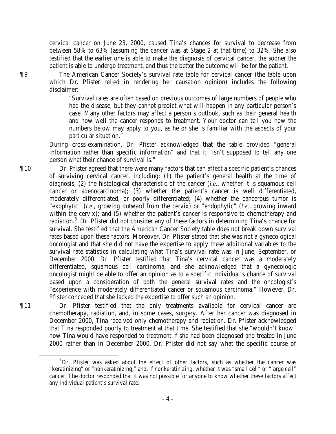cervical cancer on June 23, 2000, caused Tina's chances for survival to decrease from between 58% to 63% (assuming the cancer was at Stage 2 at that time) to 32%. She also testified that the earlier one is able to make the diagnosis of cervical cancer, the sooner the patient is able to undergo treatment, and thus the better the outcome will be for the patient.

¶ 9 The American Cancer Society's survival rate table for cervical cancer (the table upon which Dr. Pfister relied in rendering her causation opinion) includes the following disclaimer:

> "Survival rates are often based on previous outcomes of large numbers of people who had the disease, but they cannot predict what will happen in any particular person's case. Many other factors may affect a person's outlook, such as their general health and how well the cancer responds to treatment. Your doctor can tell you how the numbers below may apply to you, as he or she is familiar with the aspects of your particular situation."

During cross-examination, Dr. Pfister acknowledged that the table provided "general information rather than specific information" and that it "isn't supposed to tell any one person what their chance of survival is."

¶ 10 Dr. Pfister agreed that there were many factors that can affect a specific patient's chances of surviving cervical cancer, including: (1) the patient's general health at the time of diagnosis; (2) the histological characteristic of the cancer (*i.e.*, whether it is squamous cell cancer or adenocarcinoma); (3) whether the patient's cancer is well differentiated, moderately differentiated, or poorly differentiated; (4) whether the cancerous tumor is "exophytic" (*i.e.*, growing outward from the cervix) or "endophytic" (*i.e.*, growing inward within the cervix); and (5) whether the patient's cancer is responsive to chemotherapy and radiation.<sup>[3](#page-3-0)</sup> Dr. Pfister did not consider any of these factors in determining Tina's chance for survival. She testified that the American Cancer Society table does not break down survival rates based upon these factors. Moreover, Dr. Pfister stated that she was not a gynecological oncologist and that she did not have the expertise to apply these additional variables to the survival rate statistics in calculating what Tina's survival rate was in June, September, or December 2000. Dr. Pfister testified that Tina's cervical cancer was a moderately differentiated, squamous cell carcinoma, and she acknowledged that a gynecologic oncologist might be able to offer an opinion as to a specific individual's chance of survival based upon a consideration of both the general survival rates and the oncologist's "experience with moderately differentiated cancer or squamous carcinoma." However, Dr. Pfister conceded that she lacked the expertise to offer such an opinion.

¶ 11 Dr. Pfister testified that the only treatments available for cervical cancer are chemotherapy, radiation, and, in some cases, surgery. After her cancer was diagnosed in December 2000, Tina received only chemotherapy and radiation. Dr. Pfister acknowledged that Tina responded poorly to treatment at that time. She testified that she "wouldn't know" how Tina would have responded to treatment if she had been diagnosed and treated in June 2000 rather than in December 2000. Dr. Pfister did not say what the specific course of

- 4 -

<span id="page-3-0"></span><sup>&</sup>lt;sup>3</sup>Dr. Pfister was asked about the effect of other factors, such as whether the cancer was "keratinizing" or "nonkeratinizing," and, if nonkeratinizing, whether it was "small cell" or "large cell" cancer. The doctor responded that it was not possible for anyone to know whether these factors affect any individual patient's survival rate.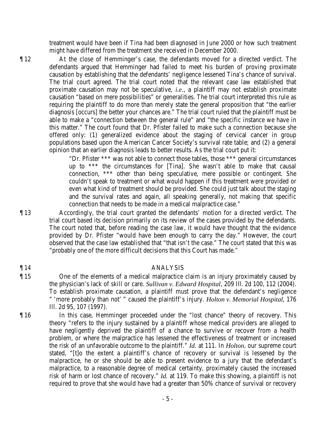treatment would have been if Tina had been diagnosed in June 2000 or how such treatment might have differed from the treatment she received in December 2000.

¶ 12 At the close of Hemminger's case, the defendants moved for a directed verdict. The defendants argued that Hemminger had failed to meet his burden of proving proximate causation by establishing that the defendants' negligence lessened Tina's chance of survival. The trial court agreed. The trial court noted that the relevant case law established that proximate causation may not be speculative, *i.e.*, a plaintiff may not establish proximate causation "based on mere possibilities" or generalities. The trial court interpreted this rule as requiring the plaintiff to do more than merely state the general proposition that "the earlier diagnosis [occurs] the better your chances are." The trial court ruled that the plaintiff must be able to make a "connection between the general rule" and "the specific instance we have in this matter." The court found that Dr. Pfister failed to make such a connection because she offered only: (1) generalized evidence about the staging of cervical cancer in group populations based upon the American Cancer Society's survival rate table; and (2) a general opinion that an earlier diagnosis leads to better results. As the trial court put it:

> "Dr. Pfister \*\*\* was not able to connect those tables, those \*\*\* general circumstances up to \*\*\* the circumstances for [Tina]. She wasn't able to make that causal connection, \*\*\* other than being speculative, mere possible or contingent. She couldn't speak to treatment or what would happen if this treatment were provided or even what kind of treatment should be provided. She could just talk about the staging and the survival rates and again, all speaking generally, not making that specific connection that needs to be made in a medical malpractice case."

¶ 13 Accordingly, the trial court granted the defendants' motion for a directed verdict. The trial court based its decision primarily on its review of the cases provided by the defendants. The court noted that, before reading the case law, it would have thought that the evidence provided by Dr. Pfister "would have been enough to carry the day." However, the court observed that the case law established that "that isn't the case." The court stated that this was "probably one of the more difficult decisions that this Court has made."

## ¶ 14 ANALYSIS

- ¶ 15 One of the elements of a medical malpractice claim is an injury proximately caused by the physician's lack of skill or care. *Sullivan v. Edward Hospital*, 209 Ill. 2d 100, 112 (2004). To establish proximate causation, a plaintiff must prove that the defendant's negligence " 'more probably than not' " caused the plaintiff's injury. *Holton v. Memorial Hospital*, 176 Ill. 2d 95, 107 (1997).
- ¶ 16 In this case, Hemminger proceeded under the "lost chance" theory of recovery. This theory "refers to the injury sustained by a plaintiff whose medical providers are alleged to have negligently deprived the plaintiff of a chance to survive or recover from a health problem, or where the malpractice has lessened the effectiveness of treatment or increased the risk of an unfavorable outcome to the plaintiff." *Id.* at 111. In *Holton*, our supreme court stated, "[t]o the extent a plaintiff's chance of recovery or survival is lessened by the malpractice, he or she should be able to present evidence to a jury that the defendant's malpractice, to a reasonable degree of medical certainty, proximately caused the increased risk of harm or lost chance of recovery." *Id.* at 119. To make this showing, a plaintiff is not required to prove that she would have had a greater than 50% chance of survival or recovery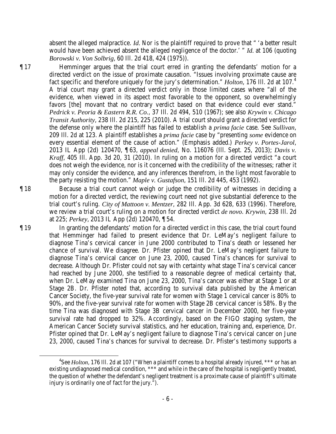absent the alleged malpractice. *Id.* Nor is the plaintiff required to prove that " 'a better result would have been achieved absent the alleged negligence of the doctor.' " *Id.* at 106 (quoting *Borowski v. Von Solbrig*, 60 Ill. 2d 418, 424 (1975)).

¶ 17 Hemminger argues that the trial court erred in granting the defendants' motion for a directed verdict on the issue of proximate causation. "Issues involving proximate cause are fact specific and therefore uniquely for the jury's determination." *Holton*, 176 Ill. 2d at 107.[4](#page-5-0) A trial court may grant a directed verdict only in those limited cases where "all of the evidence, when viewed in its aspect most favorable to the opponent, so overwhelmingly favors [the] movant that no contrary verdict based on that evidence could ever stand." *Pedrick v. Peoria & Eastern R.R. Co.*, 37 Ill. 2d 494, 510 (1967); see also *Krywin v. Chicago Transit Authority*, 238 Ill. 2d 215, 225 (2010). A trial court should grant a directed verdict for the defense only where the plaintiff has failed to establish a *prima facie* case. See *Sullivan*, 209 Ill. 2d at 123. A plaintiff establishes a *prima facie* case by "presenting *some* evidence on every essential element of the cause of action." (Emphasis added.) *Perkey v. Portes-Jarol*, 2013 IL App (2d) 120470, ¶ 63, *appeal denied*, No. 116076 (Ill. Sept. 25, 2013); *Davis v. Kraff*, 405 Ill. App. 3d 20, 31 (2010). In ruling on a motion for a directed verdict "a court does not weigh the evidence, nor is it concerned with the credibility of the witnesses; rather it may only consider the evidence, and any inferences therefrom, in the light most favorable to the party resisting the motion." *Maple v. Gustafson*, 151 Ill. 2d 445, 453 (1992).

¶ 18 Because a trial court cannot weigh or judge the credibility of witnesses in deciding a motion for a directed verdict, the reviewing court need not give substantial deference to the trial court's ruling. *City of Mattoon v. Mentzer*, 282 Ill. App. 3d 628, 633 (1996). Therefore, we review a trial court's ruling on a motion for directed verdict *de novo*. *Krywin*, 238 Ill. 2d at 225; *Perkey*, 2013 IL App (2d) 120470, ¶ 54.

¶ 19 In granting the defendants' motion for a directed verdict in this case, the trial court found that Hemminger had failed to present evidence that Dr. LeMay's negligent failure to diagnose Tina's cervical cancer in June 2000 contributed to Tina's death or lessened her chance of survival. We disagree. Dr. Pfister opined that Dr. LeMay's negligent failure to diagnose Tina's cervical cancer on June 23, 2000, caused Tina's chances for survival to decrease. Although Dr. Pfister could not say with certainty what stage Tina's cervical cancer had reached by June 2000, she testified to a reasonable degree of medical certainty that, when Dr. LeMay examined Tina on June 23, 2000, Tina's cancer was either at Stage 1 or at Stage 2B. Dr. Pfister noted that, according to survival data published by the American Cancer Society, the five-year survival rate for women with Stage 1 cervical cancer is 80% to 90%, and the five-year survival rate for women with Stage 2B cervical cancer is 58%. By the time Tina was diagnosed with Stage 3B cervical cancer in December 2000, her five-year survival rate had dropped to 32%. Accordingly, based on the FIGO staging system, the American Cancer Society survival statistics, and her education, training and, experience, Dr. Pfister opined that Dr. LeMay's negligent failure to diagnose Tina's cervical cancer on June 23, 2000, caused Tina's chances for survival to decrease. Dr. Pfister's testimony supports a

<span id="page-5-0"></span> <sup>4</sup> <sup>4</sup>See *Holton*, 176 Ill. 2d at 107 ("When a plaintiff comes to a hospital already injured, \*\*\* or has an existing undiagnosed medical condition, \*\*\* and while in the care of the hospital is negligently treated, the question of whether the defendant's negligent treatment is a proximate cause of plaintiff's ultimate injury is ordinarily one of fact for the jury.").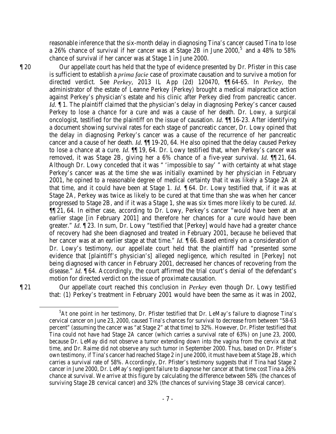reasonable inference that the six-month delay in diagnosing Tina's cancer caused Tina to lose a 26% chance of survival if her cancer was at Stage 2B in June 2000,<sup>[5](#page-6-0)</sup> and a 48% to 58% chance of survival if her cancer was at Stage 1 in June 2000.

¶ 20 Our appellate court has held that the type of evidence presented by Dr. Pfister in this case is sufficient to establish a *prima facie* case of proximate causation and to survive a motion for directed verdict. See *Perkey*, 2013 IL App (2d) 120470, ¶¶ 64-65. In *Perkey*, the administrator of the estate of Leanne Perkey (Perkey) brought a medical malpractice action against Perkey's physician's estate and his clinic after Perkey died from pancreatic cancer. *Id.*  $\blacksquare$  1. The plaintiff claimed that the physician's delay in diagnosing Perkey's cancer caused Perkey to lose a chance for a cure and was a cause of her death. Dr. Lowy, a surgical oncologist, testified for the plaintiff on the issue of causation. *Id.* ¶¶ 16-23. After identifying a document showing survival rates for each stage of pancreatic cancer, Dr. Lowy opined that the delay in diagnosing Perkey's cancer was a cause of the recurrence of her pancreatic cancer and a cause of her death. *Id.* ¶¶ 19-20, 64. He also opined that the delay caused Perkey to lose a chance at a cure. *Id.* ¶¶ 19, 64. Dr. Lowy testified that, when Perkey's cancer was removed, it was Stage 2B, giving her a 6% chance of a five-year survival. *Id.* ¶¶ 21, 64. Although Dr. Lowy conceded that it was " 'impossible to say' " with certainty at what stage Perkey's cancer was at the time she was initially examined by her physician in February 2001, he opined to a reasonable degree of medical certainty that it was likely a Stage 2A at that time, and it could have been at Stage 1. *Id.* ¶ 64. Dr. Lowy testified that, if it was at Stage 2A, Perkey was twice as likely to be cured at that time than she was when her cancer progressed to Stage 2B, and if it was a Stage 1, she was six times more likely to be cured. *Id.*  ¶¶ 21, 64. In either case, according to Dr. Lowy, Perkey's cancer "would have been at an earlier stage [in February 2001] and therefore her chances for a cure would have been greater." *Id.* ¶ 23. In sum, Dr. Lowy "testified that [Perkey] would have had a greater chance of recovery had she been diagnosed and treated in February 2001, because he believed that her cancer was at an earlier stage at that time." *Id.* **[66. Based entirely on a consideration of** Dr. Lowy's testimony, our appellate court held that the plaintiff had "presented some evidence that [plaintiff's physician's] alleged negligence, which resulted in [Perkey] not being diagnosed with cancer in February 2001, decreased her chances of recovering from the disease." *Id.*  $\llbracket 64$ . Accordingly, the court affirmed the trial court's denial of the defendant's motion for directed verdict on the issue of proximate causation.

<span id="page-6-0"></span>¶ 21 Our appellate court reached this conclusion in *Perkey* even though Dr. Lowy testified that: (1) Perkey's treatment in February 2001 would have been the same as it was in 2002,

 $\frac{1}{5}$  ${}^{5}$ At one point in her testimony, Dr. Pfister testified that Dr. LeMay's failure to diagnose Tina's cervical cancer on June 23, 2000, caused Tina's chances for survival to decrease from between "58-63 percent" (assuming the cancer was "at Stage 2" at that time) to 32%. However, Dr. Pfister testified that Tina could not have had Stage 2A cancer (which carries a survival rate of 63%) on June 23, 2000, because Dr. LeMay did not observe a tumor extending down into the vagina from the cervix at that time, and Dr. Raime did not observe any such tumor in September 2000. Thus, based on Dr. Pfister's own testimony, if Tina's cancer had reached Stage 2 in June 2000, it must have been at Stage 2B, which carries a survival rate of 58%. Accordingly, Dr. Pfister's testimony suggests that if Tina had Stage 2 cancer in June 2000, Dr. LeMay's negligent failure to diagnose her cancer at that time cost Tina a 26% chance at survival. We arrive at this figure by calculating the difference between 58% (the chances of surviving Stage 2B cervical cancer) and 32% (the chances of surviving Stage 3B cervical cancer).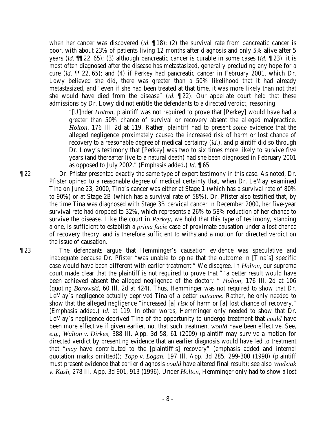when her cancer was discovered *(id.* 18); (2) the survival rate from pancreatic cancer is poor, with about 23% of patients living 12 months after diagnosis and only 5% alive after 5 years (*id.* ¶¶ 22, 65); (3) although pancreatic cancer is curable in some cases (*id.* ¶ 23), it is most often diagnosed after the disease has metastasized, generally precluding any hope for a cure (*id.* ¶¶ 22, 65); and (4) if Perkey had pancreatic cancer in February 2001, which Dr. Lowy believed she did, there was greater than a 50% likelihood that it had already metastasized, and "even if she had been treated at that time, it was more likely than not that she would have died from the disease" (*id.* ¶ 22). Our appellate court held that these admissions by Dr. Lowy did not entitle the defendants to a directed verdict, reasoning:

"[U]nder *Holton*, plaintiff was not required to prove that [Perkey] would have had a greater than 50% chance of survival or recovery absent the alleged malpractice. *Holton*, 176 Ill. 2d at 119. Rather, plaintiff had to present *some* evidence that the alleged negligence proximately caused the increased risk of harm or lost chance of recovery to a reasonable degree of medical certainty (*id.*), and plaintiff did so through Dr. Lowy's testimony that [Perkey] was two to six times more likely to survive five years (and thereafter live to a natural death) had she been diagnosed in February 2001 as opposed to July 2002." (Emphasis added.) *Id.* ¶ 65.

¶ 22 Dr. Pfister presented exactly the same type of expert testimony in this case. As noted, Dr. Pfister opined to a reasonable degree of medical certainty that, when Dr. LeMay examined Tina on June 23, 2000, Tina's cancer was either at Stage 1 (which has a survival rate of 80% to 90%) or at Stage 2B (which has a survival rate of 58%). Dr. Pfister also testified that, by the time Tina was diagnosed with Stage 3B cervical cancer in December 2000, her five-year survival rate had dropped to 32%, which represents a 26% to 58% reduction of her chance to survive the disease. Like the court in *Perkey*, we hold that this type of testimony, standing alone, is sufficient to establish a *prima facie* case of proximate causation under a lost chance of recovery theory, and is therefore sufficient to withstand a motion for directed verdict on the issue of causation.

¶ 23 The defendants argue that Hemminger's causation evidence was speculative and inadequate because Dr. Pfister "was unable to opine that the outcome in [Tina's] specific case would have been different with earlier treatment." We disagree. In *Holton*, our supreme court made clear that the plaintiff is not required to prove that " 'a better result would have been achieved absent the alleged negligence of the doctor.' " *Holton*, 176 Ill. 2d at 106 (quoting *Borowski*, 60 Ill. 2d at 424). Thus, Hemminger was not required to show that Dr. LeMay's negligence actually deprived Tina of a better *outcome*. Rather, he only needed to show that the alleged negligence "increased [a] *risk* of harm or [a] lost chance of recovery." (Emphasis added.) *Id.* at 119. In other words, Hemminger only needed to show that Dr. LeMay's negligence deprived Tina of the opportunity to undergo treatment that *could* have been more effective if given earlier, not that such treatment *would* have been effective. See, *e.g.*, *Walton v. Dirkes*, 388 Ill. App. 3d 58, 61 (2009) (plaintiff may survive a motion for directed verdict by presenting evidence that an earlier diagnosis would have led to treatment that "*may* have contributed to the [plaintiff's] recovery" (emphasis added and internal quotation marks omitted)); *Topp v. Logan*, 197 Ill. App. 3d 285, 299-300 (1990) (plaintiff must present evidence that earlier diagnosis *could* have altered final result); see also *Wodziak v. Kash*, 278 Ill. App. 3d 901, 913 (1996). Under *Holton*, Hemminger only had to show a lost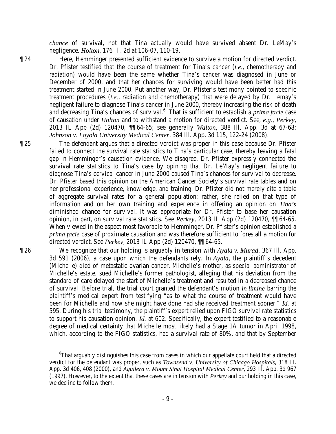*chance* of survival, not that Tina actually would have survived absent Dr. LeMay's negligence. *Holton*, 176 Ill. 2d at 106-07, 110-19.

¶ 24 Here, Hemminger presented sufficient evidence to survive a motion for directed verdict. Dr. Pfister testified that the course of treatment for Tina's cancer (*i.e.*, chemotherapy and radiation) would have been the same whether Tina's cancer was diagnosed in June or December of 2000, and that her chances for surviving would have been better had this treatment started in June 2000. Put another way, Dr. Pfister's testimony pointed to specific treatment procedures (*i.e.*, radiation and chemotherapy) that were delayed by Dr. Lemay's negligent failure to diagnose Tina's cancer in June 2000, thereby increasing the risk of death and decreasing Tina's chances of survival.<sup>[6](#page-8-0)</sup> That is sufficient to establish a *prima facie* case of causation under *Holton* and to withstand a motion for directed verdict. See, *e.g.*, *Perkey*, 2013 IL App (2d) 120470, ¶¶ 64-65; see generally *Walton*, 388 Ill. App. 3d at 67-68; *Johnson v. Loyola University Medical Center*, 384 Ill. App. 3d 115, 122-24 (2008).

¶ 25 The defendant argues that a directed verdict was proper in this case because Dr. Pfister failed to connect the survival rate statistics to Tina's particular case, thereby leaving a fatal gap in Hemminger's causation evidence. We disagree. Dr. Pfister expressly connected the survival rate statistics to Tina's case by opining that Dr. LeMay's negligent failure to diagnose Tina's cervical cancer in June 2000 caused Tina's chances for survival to decrease. Dr. Pfister based this opinion on the American Cancer Society's survival rate tables and on her professional experience, knowledge, and training. Dr. Pfister did not merely cite a table of aggregate survival rates for a general population; rather, she relied on that type of information and on her own training and experience in offering an opinion on *Tina's*  diminished chance for survival. It was appropriate for Dr. Pfister to base her causation opinion, in part, on survival rate statistics. See *Perkey*, 2013 IL App (2d) 120470, ¶¶ 64-65. When viewed in the aspect most favorable to Hemminger, Dr. Pfister's opinion established a *prima facie* case of proximate causation and was therefore sufficient to forestall a motion for directed verdict. See *Perkey*, 2013 IL App (2d) 120470, ¶¶ 64-65.

¶ 26 We recognize that our holding is arguably in tension with *Ayala v. Murad*, 367 Ill. App. 3d 591 (2006), a case upon which the defendants rely. In *Ayala*, the plaintiff's decedent (Michelle) died of metastatic ovarian cancer. Michelle's mother, as special administrator of Michelle's estate, sued Michelle's former pathologist, alleging that his deviation from the standard of care delayed the start of Michelle's treatment and resulted in a decreased chance of survival. Before trial, the trial court granted the defendant's motion *in limine* barring the plaintiff's medical expert from testifying "as to what the course of treatment would have been for Michelle and how she might have done had she received treatment sooner." *Id.* at 595. During his trial testimony, the plaintiff's expert relied upon FIGO survival rate statistics to support his causation opinion. *Id.* at 602. Specifically, the expert testified to a reasonable degree of medical certainty that Michelle most likely had a Stage 1A tumor in April 1998, which, according to the FIGO statistics, had a survival rate of 80%, and that by September

<span id="page-8-0"></span> <sup>6</sup> That arguably distinguishes this case from cases in which our appellate court held that a directed verdict for the defendant was proper, such as *Townsend v. University of Chicago Hospitals*, 318 Ill. App. 3d 406, 408 (2000), and *Aguilera v. Mount Sinai Hospital Medical Center*, 293 Ill. App. 3d 967 (1997). However, to the extent that these cases are in tension with *Perkey* and our holding in this case, we decline to follow them.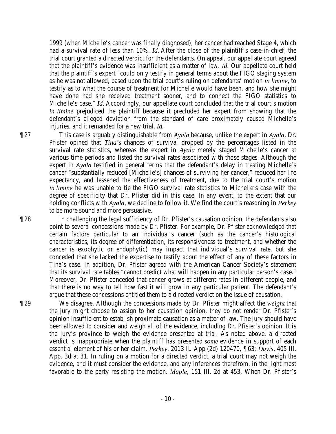1999 (when Michelle's cancer was finally diagnosed), her cancer had reached Stage 4, which had a survival rate of less than 10%. *Id.* After the close of the plaintiff's case-in-chief, the trial court granted a directed verdict for the defendants. On appeal, our appellate court agreed that the plaintiff's evidence was insufficient as a matter of law. *Id.* Our appellate court held that the plaintiff's expert "could only testify in general terms about the FIGO staging system as he was not allowed, based upon the trial court's ruling on defendants' motion *in limine*, to testify as to what the course of treatment for Michelle would have been, and how she might have done had she received treatment sooner, and to connect the FIGO statistics to Michelle's case." *Id.* Accordingly, our appellate court concluded that the trial court's motion *in limine* prejudiced the plaintiff because it precluded her expert from showing that the defendant's alleged deviation from the standard of care proximately caused Michelle's injuries, and it remanded for a new trial. *Id.*

¶ 27 This case is arguably distinguishable from *Ayala* because, unlike the expert in *Ayala*, Dr. Pfister opined that *Tina's* chances of survival dropped by the percentages listed in the survival rate statistics, whereas the expert in *Ayala* merely staged Michelle's cancer at various time periods and listed the survival rates associated with those stages. Although the expert in *Ayala* testified in general terms that the defendant's delay in treating Michelle's cancer "substantially reduced [Michelle's] chances of surviving her cancer," reduced her life expectancy, and lessened the effectiveness of treatment, due to the trial court's motion *in limine* he was unable to tie the FIGO survival rate statistics to Michelle's case with the degree of specificity that Dr. Pfister did in this case. In any event, to the extent that our holding conflicts with *Ayala*, we decline to follow it. We find the court's reasoning in *Perkey* to be more sound and more persuasive.

¶ 28 In challenging the legal sufficiency of Dr. Pfister's causation opinion, the defendants also point to several concessions made by Dr. Pfister. For example, Dr. Pfister acknowledged that certain factors particular to an individual's cancer (such as the cancer's histological characteristics, its degree of differentiation, its responsiveness to treatment, and whether the cancer is exophytic or endophytic) may impact that individual's survival rate, but she conceded that she lacked the expertise to testify about the effect of any of these factors in Tina's case. In addition, Dr. Pfister agreed with the American Cancer Society's statement that its survival rate tables "cannot predict what will happen in any particular person's case." Moreover, Dr. Pfister conceded that cancer grows at different rates in different people, and that there is no way to tell how fast it will grow in any particular patient. The defendant's argue that these concessions entitled them to a directed verdict on the issue of causation.

¶ 29 We disagree. Although the concessions made by Dr. Pfister might affect the *weight* that the jury might choose to assign to her causation opinion, they do not render Dr. Pfister's opinion insufficient to establish proximate causation as a matter of law. The jury should have been allowed to consider and weigh all of the evidence, including Dr. Pfister's opinion. It is the jury's province to weigh the evidence presented at trial. As noted above, a directed verdict is inappropriate when the plaintiff has presented *some* evidence in support of each essential element of his or her claim. *Perkey*, 2013 IL App (2d) 120470, ¶ 63; *Davis*, 405 Ill. App. 3d at 31. In ruling on a motion for a directed verdict, a trial court may not weigh the evidence, and it must consider the evidence, and any inferences therefrom, in the light most favorable to the party resisting the motion. *Maple*, 151 Ill. 2d at 453. When Dr. Pfister's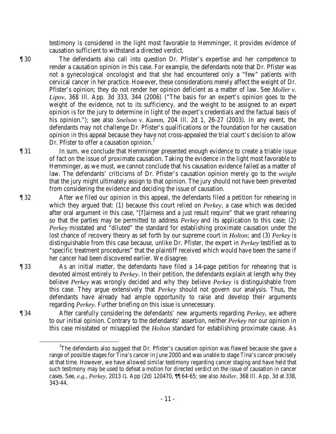testimony is considered in the light most favorable to Hemminger, it provides evidence of causation sufficient to withstand a directed verdict.

- ¶ 30 The defendants also call into question Dr. Pfister's expertise and her competence to render a causation opinion in this case. For example, the defendants note that Dr. Pfister was not a gynecological oncologist and that she had encountered only a "few" patients with cervical cancer in her practice. However, these considerations merely affect the weight of Dr. Pfister's opinion; they do not render her opinion deficient as a matter of law. See *Moller v. Lipov*, 368 Ill. App. 3d 333, 344 (2006) ("The basis for an expert's opinion goes to the weight of the evidence, not to its sufficiency, and the weight to be assigned to an expert opinion is for the jury to determine in light of the expert's credentials and the factual basis of his opinion."); see also *Snelson v. Kamm*, 204 Ill. 2d 1, 26-27 (2003). In any event, the defendants may not challenge Dr. Pfister's qualifications or the foundation for her causation opinion in this appeal because they have not cross-appealed the trial court's decision to allow Dr. Pfister to offer a causation opinion.<sup>[7](#page-10-0)</sup>
- ¶ 31 In sum, we conclude that Hemminger presented enough evidence to create a triable issue of fact on the issue of proximate causation. Taking the evidence in the light most favorable to Hemminger, as we must, we cannot conclude that his causation evidence failed as a matter of law. The defendants' criticisms of Dr. Pfister's causation opinion merely go to the *weight* that the jury might ultimately assign to that opinion. The jury should not have been prevented from considering the evidence and deciding the issue of causation.
- ¶ 32 After we filed our opinion in this appeal, the defendants filed a petition for rehearing in which they argued that: (1) because this court relied on *Perkey*, a case which was decided after oral argument in this case, "[f]airness and a just result require" that we grant rehearing so that the parties may be permitted to address *Perkey* and its application to this case; (2) *Perkey* misstated and "diluted" the standard for establishing proximate causation under the lost chance of recovery theory as set forth by our supreme court in *Holton*; and (3) *Perkey* is distinguishable from this case because, unlike Dr. Pfister, the expert in *Perkey* testified as to "specific treatment procedures" that the plaintiff received which would have been the same if her cancer had been discovered earlier. We disagree.
- 

¶ 33 As an initial matter, the defendants have filed a 14-page petition for rehearing that is devoted almost entirely to *Perkey*. In their petition, the defendants explain at length why they believe *Perkey* was wrongly decided and why they believe *Perkey* is distinguishable from this case. They argue extensively that *Perkey* should not govern our analysis. Thus, the defendants have already had ample opportunity to raise and develop their arguments regarding *Perkey*. Further briefing on this issue is unnecessary.

<span id="page-10-0"></span>

¶ 34 After carefully considering the defendants' new arguments regarding *Perkey*, we adhere to our initial opinion. Contrary to the defendants' assertion, neither *Perkey* nor our opinion in this case misstated or misapplied the *Holton* standard for establishing proximate cause. As

 <sup>7</sup> The defendants also suggest that Dr. Pfister's causation opinion was flawed because she gave a range of possible stages for Tina's cancer in June 2000 and was unable to stage Tina's cancer precisely at that time. However, we have allowed similar testimony regarding cancer staging and have held that such testimony may be used to defeat a motion for directed verdict on the issue of causation in cancer cases. See, *e.g.*, *Perkey*, 2013 IL App (2d) 120470, ¶¶ 64-65; see also *Moller*, 368 Ill. App. 3d at 338, 343-44.